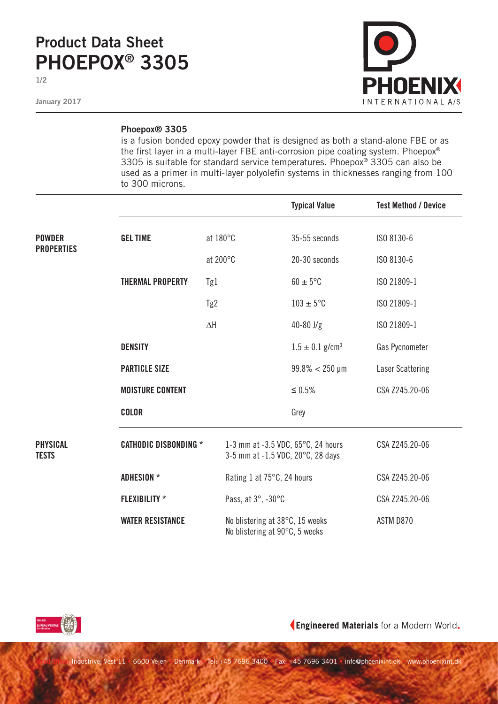## **Product Data Sheet PHOEPOX® 3305**

**1/2**

**January 2017**



## **Phoepox® 3305**

is a fusion bonded epoxy powder that is designed as both a stand-alone FBE or as the first layer in a multi-layer FBE anti-corrosion pipe coating system. Phoepox® 3305 is suitable for standard service temperatures. Phoepox® 3305 can also be used as a primer in multi-layer polyolefin systems in thicknesses ranging from 100 to 300 microns.

|                                    |                              |                                                                         | <b>Typical Value</b>            | <b>Test Method / Device</b> |
|------------------------------------|------------------------------|-------------------------------------------------------------------------|---------------------------------|-----------------------------|
| <b>POWDER</b><br><b>PROPERTIES</b> | <b>GEL TIME</b>              | at 180°C                                                                | 35-55 seconds                   | ISO 8130-6                  |
|                                    |                              | at 200°C                                                                | 20-30 seconds                   | ISO 8130-6                  |
|                                    | <b>THERMAL PROPERTY</b>      | Tg1                                                                     | $60 \pm 5^{\circ}$ C            | ISO 21809-1                 |
|                                    |                              | Tg2                                                                     | $103 \pm 5$ °C                  | ISO 21809-1                 |
|                                    |                              | $\Delta \mathsf{H}$                                                     | $40 - 80$ J/g                   | ISO 21809-1                 |
|                                    | <b>DENSITY</b>               |                                                                         | $1.5 \pm 0.1$ g/cm <sup>3</sup> | Gas Pycnometer              |
|                                    | <b>PARTICLE SIZE</b>         |                                                                         | $99.8\% < 250 \,\mu m$          | Laser Scattering            |
|                                    | <b>MOISTURE CONTENT</b>      |                                                                         | $\leq 0.5\%$                    | CSA Z245.20-06              |
|                                    | <b>COLOR</b>                 |                                                                         | Grey                            |                             |
| <b>PHYSICAL</b><br><b>TESTS</b>    | <b>CATHODIC DISBONDING *</b> | 1-3 mm at -3.5 VDC, 65°C, 24 hours<br>3-5 mm at -1.5 VDC, 20°C, 28 days |                                 | CSA Z245.20-06              |
|                                    | <b>ADHESION</b> *            | Rating 1 at 75°C, 24 hours                                              |                                 | CSA Z245.20-06              |
|                                    | <b>FLEXIBILITY *</b>         | Pass, at 3°, -30°C                                                      |                                 | CSA Z245.20-06              |
|                                    | <b>WATER RESISTANCE</b>      | No blistering at 38°C, 15 weeks<br>No blistering at 90°C, 5 weeks       |                                 | ASTM D870                   |



Engineered Materials for a Modern World.